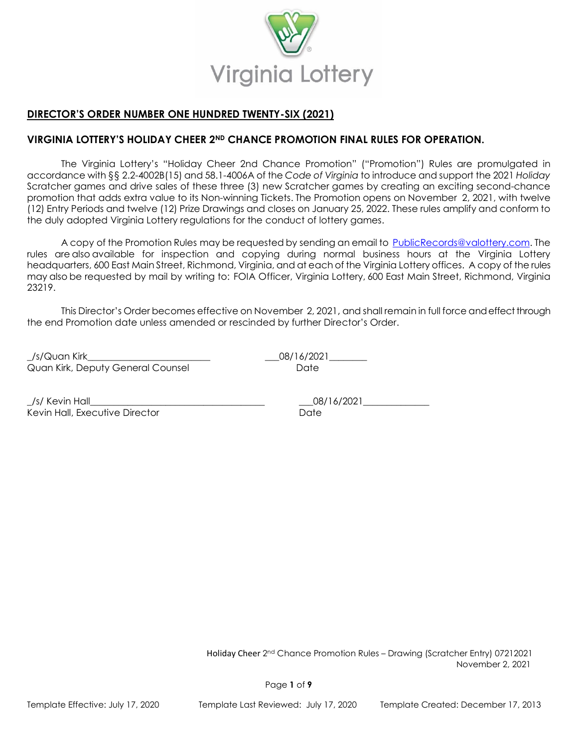

# **DIRECTOR'S ORDER NUMBER ONE HUNDRED TWENTY-SIX (2021)**

# **VIRGINIA LOTTERY'S HOLIDAY CHEER 2ND CHANCE PROMOTION FINAL RULES FOR OPERATION.**

The Virginia Lottery's "Holiday Cheer 2nd Chance Promotion" ("Promotion") Rules are promulgated in accordance with §§ 2.2-4002B(15) and 58.1-4006A of the *Code of Virginia* to introduce and support the 2021 *Holiday*  Scratcher games and drive sales of these three (3) new Scratcher games by creating an exciting second-chance promotion that adds extra value to its Non-winning Tickets. The Promotion opens on November 2, 2021, with twelve (12) Entry Periods and twelve (12) Prize Drawings and closes on January 25, 2022. These rules amplify and conform to the duly adopted Virginia Lottery regulations for the conduct of lottery games.

A copy of the Promotion Rules may be requested by sending an email to [PublicRecords@valottery.com.](mailto:PublicRecords@valottery.com) The rules are also available for inspection and copying during normal business hours at the Virginia Lottery headquarters, 600 East Main Street, Richmond, Virginia, and at each of the Virginia Lottery offices. A copy of the rules may also be requested by mail by writing to:  FOIA Officer, Virginia Lottery, 600 East Main Street, Richmond, Virginia 23219.

This Director's Order becomes effective on November 2, 2021, and shall remain in full force and effect through the end Promotion date unless amended or rescinded by further Director's Order.

\_/s/Quan Kirk\_\_\_\_\_\_\_\_\_\_\_\_\_\_\_\_\_\_\_\_\_\_\_\_\_\_ \_\_\_08/16/2021\_\_\_\_\_\_\_\_ Quan Kirk, Deputy General Counsel **Date** Date

/s/ Kevin Hall 2002 2021 Kevin Hall, Executive Director **State According to the Contract Order** Date

 Holiday Cheer 2 nd Chance Promotion Rules – Drawing (Scratcher Entry) 07212021 November 2, 2021

Page **1** of **9**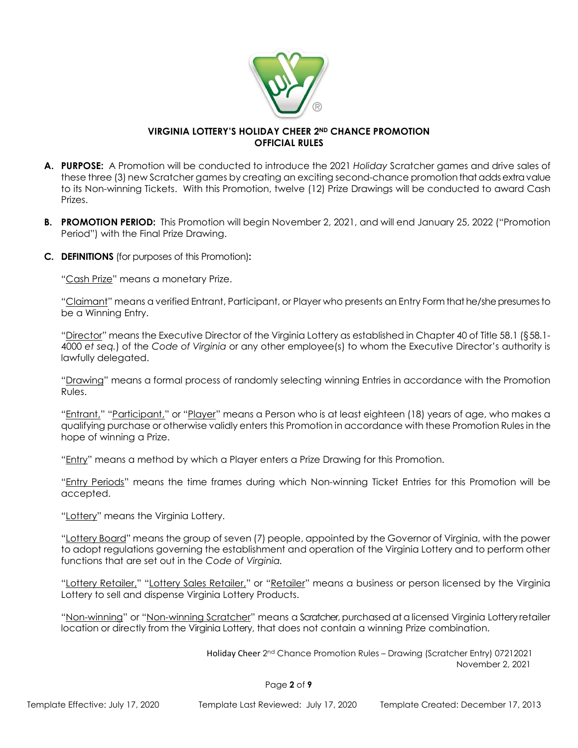

### **VIRGINIA LOTTERY'S HOLIDAY CHEER 2ND CHANCE PROMOTION OFFICIAL RULES**

- **A. PURPOSE:** A Promotion will be conducted to introduce the 2021 *Holiday* Scratcher games and drive sales of these three (3) new Scratcher games by creating an exciting second-chance promotion that adds extra value to its Non-winning Tickets. With this Promotion, twelve (12) Prize Drawings will be conducted to award Cash Prizes.
- **B. PROMOTION PERIOD:** This Promotion will begin November 2, 2021, and will end January 25, 2022 ("Promotion Period") with the Final Prize Drawing.
- **C. DEFINITIONS** (for purposes of this Promotion)**:**

"Cash Prize" means a monetary Prize.

"Claimant" means a verified Entrant, Participant, or Player who presents an Entry Form that he/she presumes to be a Winning Entry.

"Director" means the Executive Director of the Virginia Lottery as established in Chapter 40 of Title 58.1 (§58.1- 4000 *et seq.*) of the *Code of Virginia* or any other employee(s) to whom the Executive Director's authority is lawfully delegated.

"Drawing" means a formal process of randomly selecting winning Entries in accordance with the Promotion Rules.

"Entrant," "Participant," or "Player" means a Person who is at least eighteen (18) years of age, who makes a qualifying purchase or otherwise validly enters this Promotion in accordance with these Promotion Rules in the hope of winning a Prize.

"Entry" means a method by which a Player enters a Prize Drawing for this Promotion.

"Entry Periods" means the time frames during which Non-winning Ticket Entries for this Promotion will be accepted.

"Lottery" means the Virginia Lottery.

"Lottery Board" means the group of seven (7) people, appointed by the Governor of Virginia, with the power to adopt regulations governing the establishment and operation of the Virginia Lottery and to perform other functions that are set out in the *Code of Virginia.*

"Lottery Retailer," "Lottery Sales Retailer," or "Retailer" means a business or person licensed by the Virginia Lottery to sell and dispense Virginia Lottery Products.

"Non-winning" or "Non-winning Scratcher" means a Scratcher, purchased at a licensed Virginia Lottery retailer location or directly from the Virginia Lottery, that does not contain a winning Prize combination.

 Holiday Cheer 2 nd Chance Promotion Rules – Drawing (Scratcher Entry) 07212021 November 2, 2021

Page **2** of **9**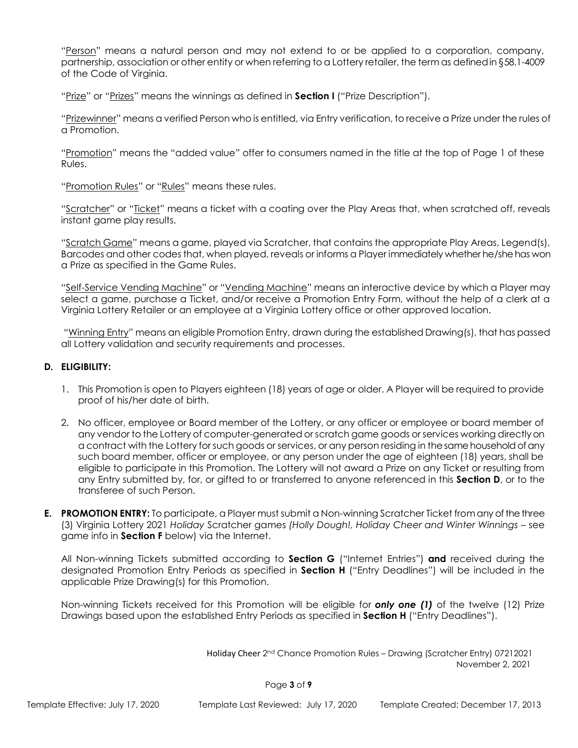"Person" means a natural person and may not extend to or be applied to a corporation, company, partnership, association or other entity or when referring to a Lottery retailer, the term as defined in §58.1-4009 of the Code of Virginia.

"Prize" or "Prizes" means the winnings as defined in **Section I** ("Prize Description").

"Prizewinner" means a verified Person who is entitled, via Entry verification, to receive a Prize under the rules of a Promotion.

"Promotion" means the "added value" offer to consumers named in the title at the top of Page 1 of these Rules.

"Promotion Rules" or "Rules" means these rules.

"Scratcher" or "Ticket" means a ticket with a coating over the Play Areas that, when scratched off, reveals instant game play results.

"Scratch Game" means a game, played via Scratcher, that contains the appropriate Play Areas, Legend(s), Barcodes and other codes that, when played, reveals or informs a Player immediately whether he/she has won a Prize as specified in the Game Rules.

"Self-Service Vending Machine" or "Vending Machine" means an interactive device by which a Player may select a game, purchase a Ticket, and/or receive a Promotion Entry Form, without the help of a clerk at a Virginia Lottery Retailer or an employee at a Virginia Lottery office or other approved location.

"Winning Entry" means an eligible Promotion Entry, drawn during the established Drawing(s), that has passed all Lottery validation and security requirements and processes.

### **D. ELIGIBILITY:**

- 1. This Promotion is open to Players eighteen (18) years of age or older. A Player will be required to provide proof of his/her date of birth.
- 2. No officer, employee or Board member of the Lottery, or any officer or employee or board member of any vendor to the Lottery of computer-generated or scratch game goods or services working directly on a contract with the Lottery for such goods or services, or any person residing in the same household of any such board member, officer or employee, or any person under the age of eighteen (18) years, shall be eligible to participate in this Promotion. The Lottery will not award a Prize on any Ticket or resulting from any Entry submitted by, for, or gifted to or transferred to anyone referenced in this **Section D**, or to the transferee of such Person.
- **E. PROMOTION ENTRY:** To participate, a Player must submit a Non-winning Scratcher Ticket from any of the three (3) Virginia Lottery 2021 *Holiday* Scratcher games *(Holly Dough!, Holiday Cheer and Winter Winnings –* see game info in **Section F** below) via the Internet.

All Non-winning Tickets submitted according to **Section G** ("Internet Entries") **and** received during the designated Promotion Entry Periods as specified in **Section H** ("Entry Deadlines") will be included in the applicable Prize Drawing(s) for this Promotion.

Non-winning Tickets received for this Promotion will be eligible for *only one (1)* of the twelve (12) Prize Drawings based upon the established Entry Periods as specified in **Section H** ("Entry Deadlines").

 Holiday Cheer 2 nd Chance Promotion Rules – Drawing (Scratcher Entry) 07212021 November 2, 2021

Page **3** of **9**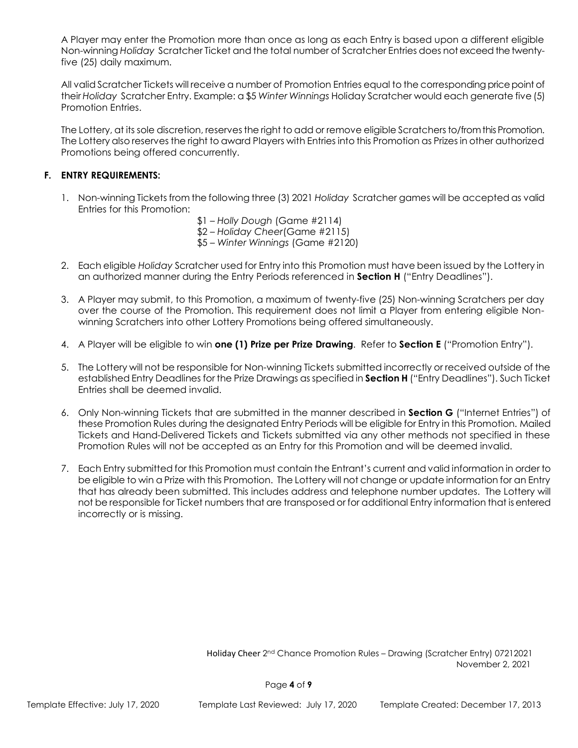A Player may enter the Promotion more than once as long as each Entry is based upon a different eligible Non-winning *Holiday* Scratcher Ticket and the total number of Scratcher Entries does not exceed the twentyfive (25) daily maximum.

All valid Scratcher Tickets will receive a number of Promotion Entries equal to the corresponding price point of their *Holiday* Scratcher Entry. Example: a \$5 *Winter Winnings* Holiday Scratcher would each generate five (5) Promotion Entries.

The Lottery, at its sole discretion, reserves the right to add or remove eligible Scratchers to/from this Promotion. The Lottery also reserves the right to award Players with Entries into this Promotion as Prizes in other authorized Promotions being offered concurrently.

### **F. ENTRY REQUIREMENTS:**

- 1. Non-winning Tickets from the following three (3) 2021 *Holiday* Scratcher games will be accepted as valid Entries for this Promotion:
	- \$1 *Holly Dough* (Game #2114) \$2 – *Holiday Cheer*(Game #2115)
	- \$5 *Winter Winnings* (Game #2120)
- 2. Each eligible *Holiday* Scratcher used for Entry into this Promotion must have been issued by the Lottery in an authorized manner during the Entry Periods referenced in **Section H** ("Entry Deadlines").
- 3. A Player may submit, to this Promotion, a maximum of twenty-five (25) Non-winning Scratchers per day over the course of the Promotion. This requirement does not limit a Player from entering eligible Nonwinning Scratchers into other Lottery Promotions being offered simultaneously.
- 4. A Player will be eligible to win **one (1) Prize per Prize Drawing**. Refer to **Section E** ("Promotion Entry").
- 5. The Lottery will not be responsible for Non-winning Tickets submitted incorrectly or received outside of the established Entry Deadlines for the Prize Drawings as specified in **Section H** ("Entry Deadlines"). Such Ticket Entries shall be deemed invalid.
- 6. Only Non-winning Tickets that are submitted in the manner described in **Section G** ("Internet Entries") of these Promotion Rules during the designated Entry Periods will be eligible for Entry in this Promotion. Mailed Tickets and Hand-Delivered Tickets and Tickets submitted via any other methods not specified in these Promotion Rules will not be accepted as an Entry for this Promotion and will be deemed invalid.
- 7. Each Entry submitted for this Promotion must contain the Entrant's current and valid information in order to be eligible to win a Prize with this Promotion. The Lottery will not change or update information for an Entry that has already been submitted. This includes address and telephone number updates. The Lottery will not be responsible for Ticket numbers that are transposed or for additional Entry information that is entered incorrectly or is missing.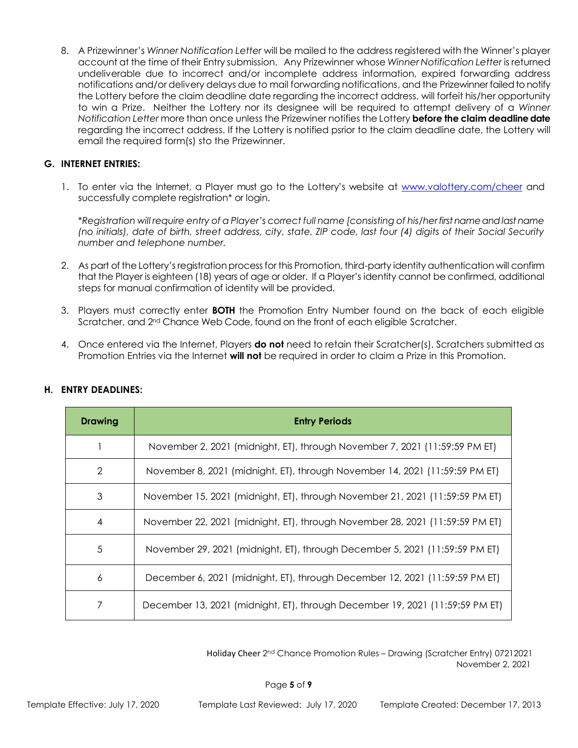8. A Prizewinner's *Winner Notification Letter* will be mailed to the address registered with the Winner's player account at the time of their Entry submission. Any Prizewinner whose *Winner Notification Letter* is returned undeliverable due to incorrect and/or incomplete address information, expired forwarding address notifications and/or delivery delays due to mail forwarding notifications, and the Prizewinner failed to notify the Lottery before the claim deadline date regarding the incorrect address, will forfeit his/her opportunity to win a Prize. Neither the Lottery nor its designee will be required to attempt delivery of a *Winner Notification Letter* more than once unless the Prizewiner notifies the Lottery **before the claim deadline date** regarding the incorrect address. If the Lottery is notified psrior to the claim deadline date, the Lottery will email the required form(s) sto the Prizewinner.

### **G. INTERNET ENTRIES:**

1. To enter via the Internet, a Player must go to the Lottery's website at [www.valottery.com/cheer](http://www.valottery.com/cheer) and successfully complete registration\* or login.

\**Registration will require entry of a Player's correct full name [consisting of his/her first name and last name (no initials), date of birth, street address, city, state, ZIP code, last four (4) digits of their Social Security number and telephone number.*

- 2. As part of the Lottery's registration process for this Promotion, third-party identity authentication will confirm that the Player is eighteen (18) years of age or older. If a Player's identity cannot be confirmed, additional steps for manual confirmation of identity will be provided.
- 3. Players must correctly enter **BOTH** the Promotion Entry Number found on the back of each eligible Scratcher, and 2nd Chance Web Code, found on the front of each eligible Scratcher.
- 4. Once entered via the Internet, Players **do not** need to retain their Scratcher(s). Scratchers submitted as Promotion Entries via the Internet **will not** be required in order to claim a Prize in this Promotion.

| <b>Drawing</b> | <b>Entry Periods</b>                                                         |
|----------------|------------------------------------------------------------------------------|
|                | November 2, 2021 (midnight, ET), through November 7, 2021 (11:59:59 PM ET)   |
| $\overline{2}$ | November 8, 2021 (midnight, ET), through November 14, 2021 (11:59:59 PM ET)  |
| 3              | November 15, 2021 (midnight, ET), through November 21, 2021 (11:59:59 PM ET) |
| $\overline{4}$ | November 22, 2021 (midnight, ET), through November 28, 2021 (11:59:59 PM ET) |
| 5              | November 29, 2021 (midnight, ET), through December 5, 2021 (11:59:59 PM ET)  |
| 6              | December 6, 2021 (midnight, ET), through December 12, 2021 (11:59:59 PM ET)  |
|                | December 13, 2021 (midnight, ET), through December 19, 2021 (11:59:59 PM ET) |

#### **H. ENTRY DEADLINES:**

 Holiday Cheer 2 nd Chance Promotion Rules – Drawing (Scratcher Entry) 07212021 November 2, 2021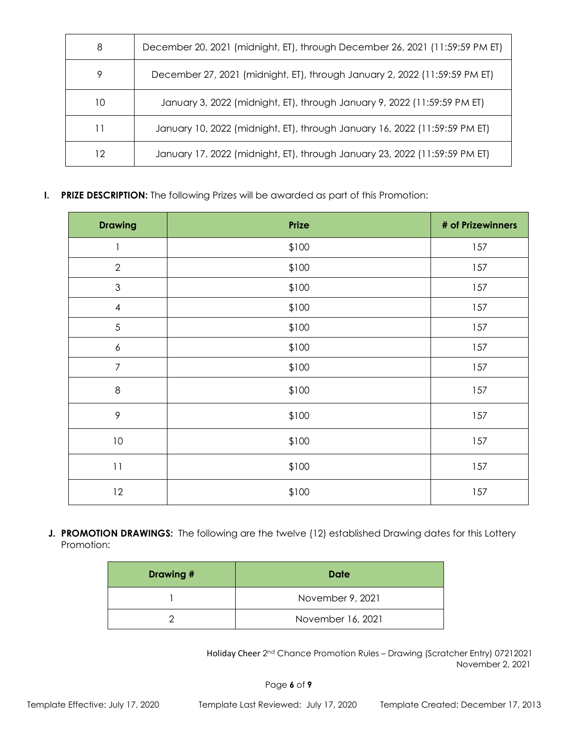| 8  | December 20, 2021 (midnight, ET), through December 26, 2021 (11:59:59 PM ET) |
|----|------------------------------------------------------------------------------|
| 9  | December 27, 2021 (midnight, ET), through January 2, 2022 (11:59:59 PM ET)   |
| 10 | January 3, 2022 (midnight, ET), through January 9, 2022 (11:59:59 PM ET)     |
| 11 | January 10, 2022 (midnight, ET), through January 16, 2022 (11:59:59 PM ET)   |
| 12 | January 17, 2022 (midnight, ET), through January 23, 2022 (11:59:59 PM ET)   |

**I. PRIZE DESCRIPTION:** The following Prizes will be awarded as part of this Promotion:

| <b>Drawing</b>           | Prize | # of Prizewinners |
|--------------------------|-------|-------------------|
| 1                        | \$100 | 157               |
| $\sqrt{2}$               | \$100 | 157               |
| $\mathfrak{S}$           | \$100 | 157               |
| $\overline{\mathcal{A}}$ | \$100 | 157               |
| 5                        | \$100 | 157               |
| $\boldsymbol{6}$         | \$100 | 157               |
| $\overline{7}$           | \$100 | 157               |
| $\,8\,$                  | \$100 | 157               |
| $\mathcal{P}$            | \$100 | 157               |
| $10\,$                   | \$100 | 157               |
| 11                       | \$100 | 157               |
| 12                       | \$100 | 157               |

**J. PROMOTION DRAWINGS:** The following are the twelve (12) established Drawing dates for this Lottery Promotion:

| Drawing # | Date              |
|-----------|-------------------|
|           | November 9, 2021  |
|           | November 16, 2021 |

 Holiday Cheer 2 nd Chance Promotion Rules – Drawing (Scratcher Entry) 07212021 November 2, 2021

Page **6** of **9**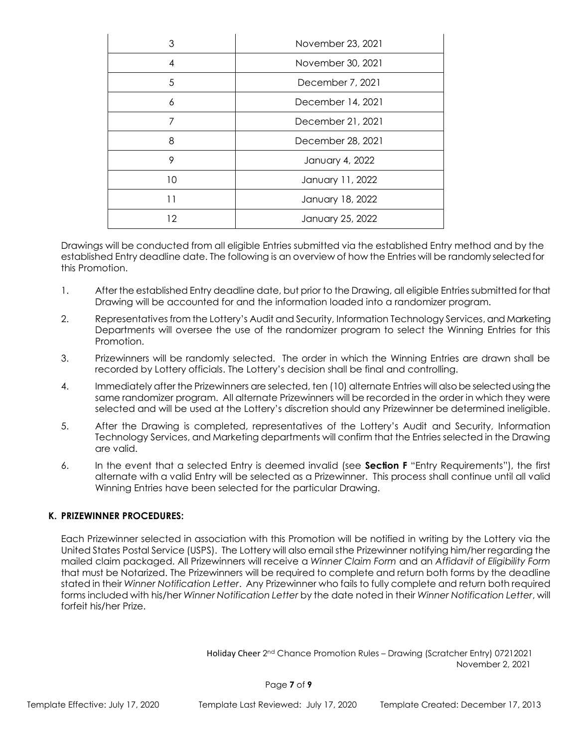| 3  | November 23, 2021 |
|----|-------------------|
| 4  | November 30, 2021 |
| 5  | December 7, 2021  |
| 6  | December 14, 2021 |
|    | December 21, 2021 |
| 8  | December 28, 2021 |
| 9  | January 4, 2022   |
| 10 | January 11, 2022  |
| 11 | January 18, 2022  |
| 12 | January 25, 2022  |

Drawings will be conducted from all eligible Entries submitted via the established Entry method and by the established Entry deadline date. The following is an overview of how the Entries will be randomly selected for this Promotion.

- 1. After the established Entry deadline date, but prior to the Drawing, all eligible Entries submitted for that Drawing will be accounted for and the information loaded into a randomizer program.
- 2. Representatives from the Lottery's Audit and Security, Information Technology Services, and Marketing Departments will oversee the use of the randomizer program to select the Winning Entries for this Promotion.
- 3. Prizewinners will be randomly selected. The order in which the Winning Entries are drawn shall be recorded by Lottery officials. The Lottery's decision shall be final and controlling.
- 4. Immediately after the Prizewinners are selected, ten (10) alternate Entries will also be selected using the same randomizer program. All alternate Prizewinners will be recorded in the order in which they were selected and will be used at the Lottery's discretion should any Prizewinner be determined ineligible.
- 5. After the Drawing is completed, representatives of the Lottery's Audit and Security, Information Technology Services, and Marketing departments will confirm that the Entries selected in the Drawing are valid.
- 6. In the event that a selected Entry is deemed invalid (see **Section F** "Entry Requirements"), the first alternate with a valid Entry will be selected as a Prizewinner. This process shall continue until all valid Winning Entries have been selected for the particular Drawing.

# **K. PRIZEWINNER PROCEDURES:**

Each Prizewinner selected in association with this Promotion will be notified in writing by the Lottery via the United States Postal Service (USPS). The Lottery will also email sthe Prizewinner notifying him/her regarding the mailed claim packaged. All Prizewinners will receive a *Winner Claim Form* and an *Affidavit of Eligibility Form* that must be Notarized. The Prizewinners will be required to complete and return both forms by the deadline stated in their *Winner Notification Letter*. Any Prizewinner who fails to fully complete and return both required forms included with his/her *Winner Notification Letter* by the date noted in their *Winner Notification Letter*, will forfeit his/her Prize.

 Holiday Cheer 2 nd Chance Promotion Rules – Drawing (Scratcher Entry) 07212021 November 2, 2021

Page **7** of **9**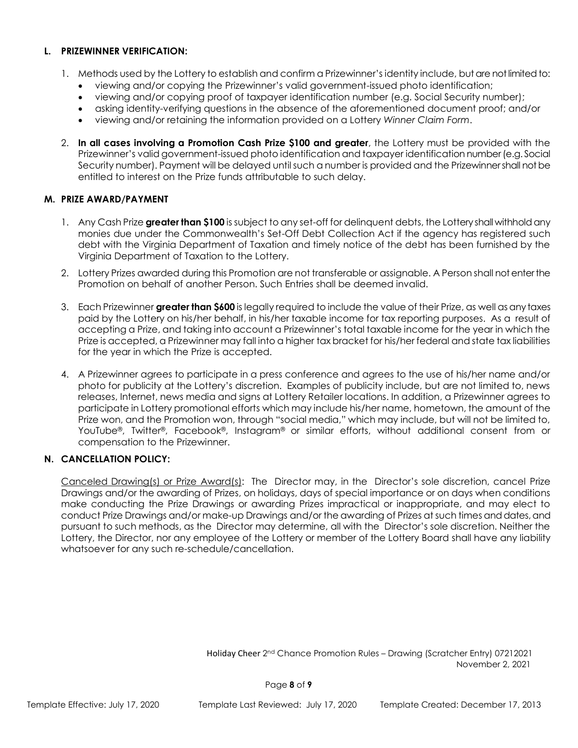#### **L. PRIZEWINNER VERIFICATION:**

- 1. Methods used by the Lottery to establish and confirm a Prizewinner's identity include, but are not limited to:
	- viewing and/or copying the Prizewinner's valid government-issued photo identification;
	- viewing and/or copying proof of taxpayer identification number (e.g. Social Security number);
	- asking identity-verifying questions in the absence of the aforementioned document proof; and/or
	- viewing and/or retaining the information provided on a Lottery *Winner Claim Form*.
- 2. **In all cases involving a Promotion Cash Prize \$100 and greater**, the Lottery must be provided with the Prizewinner's valid government-issued photo identification and taxpayer identification number (e.g. Social Security number). Payment will be delayed until such a number is provided and the Prizewinner shall not be entitled to interest on the Prize funds attributable to such delay.

#### **M. PRIZE AWARD/PAYMENT**

- 1. Any Cash Prize **greater than \$100** is subject to any set-off for delinquent debts, the Lottery shall withhold any monies due under the Commonwealth's Set-Off Debt Collection Act if the agency has registered such debt with the Virginia Department of Taxation and timely notice of the debt has been furnished by the Virginia Department of Taxation to the Lottery.
- 2. Lottery Prizes awarded during this Promotion are not transferable or assignable. A Person shall not enter the Promotion on behalf of another Person. Such Entries shall be deemed invalid.
- 3. Each Prizewinner **greater than \$600** is legally required to include the value of their Prize, as well as any taxes paid by the Lottery on his/her behalf, in his/her taxable income for tax reporting purposes. As a result of accepting a Prize, and taking into account a Prizewinner's total taxable income for the year in which the Prize is accepted, a Prizewinner may fall into a higher tax bracket for his/her federal and state tax liabilities for the year in which the Prize is accepted.
- 4. A Prizewinner agrees to participate in a press conference and agrees to the use of his/her name and/or photo for publicity at the Lottery's discretion. Examples of publicity include, but are not limited to, news releases, Internet, news media and signs at Lottery Retailer locations. In addition, a Prizewinner agrees to participate in Lottery promotional efforts which may include his/her name, hometown, the amount of the Prize won, and the Promotion won, through "social media," which may include, but will not be limited to, YouTube®, Twitter®, Facebook®, Instagram® or similar efforts, without additional consent from or compensation to the Prizewinner.

#### **N. CANCELLATION POLICY:**

Canceled Drawing(s) or Prize Award(s): The Director may, in the Director's sole discretion, cancel Prize Drawings and/or the awarding of Prizes, on holidays, days of special importance or on days when conditions make conducting the Prize Drawings or awarding Prizes impractical or inappropriate, and may elect to conduct Prize Drawings and/or make-up Drawings and/or the awarding of Prizes at such times and dates, and pursuant to such methods, as the Director may determine, all with the Director's sole discretion. Neither the Lottery, the Director, nor any employee of the Lottery or member of the Lottery Board shall have any liability whatsoever for any such re-schedule/cancellation.